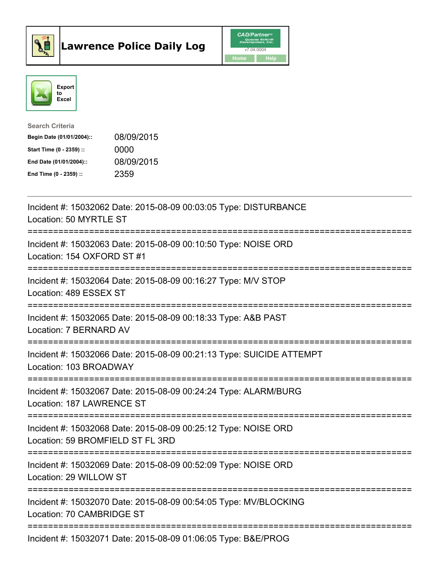



| <b>Search Criteria</b>    |            |
|---------------------------|------------|
| Begin Date (01/01/2004):: | 08/09/2015 |
| Start Time (0 - 2359) ::  | 0000       |
| End Date (01/01/2004)::   | 08/09/2015 |
| End Time (0 - 2359) ::    | 2359       |

| Incident #: 15032062 Date: 2015-08-09 00:03:05 Type: DISTURBANCE<br>Location: 50 MYRTLE ST                                              |
|-----------------------------------------------------------------------------------------------------------------------------------------|
| Incident #: 15032063 Date: 2015-08-09 00:10:50 Type: NOISE ORD<br>Location: 154 OXFORD ST #1                                            |
| Incident #: 15032064 Date: 2015-08-09 00:16:27 Type: M/V STOP<br>Location: 489 ESSEX ST<br>:====================                        |
| Incident #: 15032065 Date: 2015-08-09 00:18:33 Type: A&B PAST<br>Location: 7 BERNARD AV                                                 |
| Incident #: 15032066 Date: 2015-08-09 00:21:13 Type: SUICIDE ATTEMPT<br>Location: 103 BROADWAY<br>------------------------------------- |
| Incident #: 15032067 Date: 2015-08-09 00:24:24 Type: ALARM/BURG<br>Location: 187 LAWRENCE ST                                            |
| Incident #: 15032068 Date: 2015-08-09 00:25:12 Type: NOISE ORD<br>Location: 59 BROMFIELD ST FL 3RD                                      |
| Incident #: 15032069 Date: 2015-08-09 00:52:09 Type: NOISE ORD<br>Location: 29 WILLOW ST                                                |
| Incident #: 15032070 Date: 2015-08-09 00:54:05 Type: MV/BLOCKING<br>Location: 70 CAMBRIDGE ST                                           |
| Incident #: 15032071 Date: 2015-08-09 01:06:05 Type: B&E/PROG                                                                           |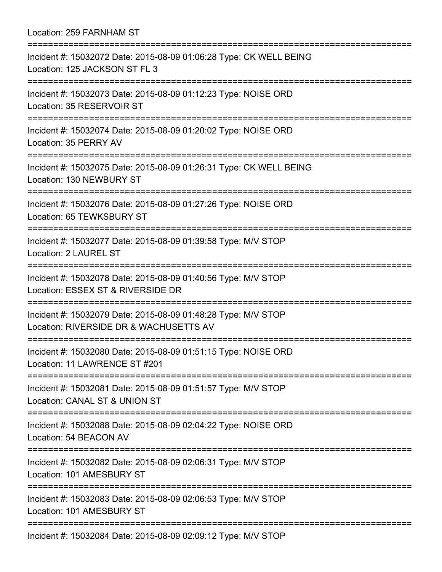Location: 259 FARNHAM ST =========================================================================== Incident #: 15032072 Date: 2015-08-09 01:06:28 Type: CK WELL BEING Location: 125 JACKSON ST FL 3 =========================================================================== Incident #: 15032073 Date: 2015-08-09 01:12:23 Type: NOISE ORD Location: 35 RESERVOIR ST =========================================================================== Incident #: 15032074 Date: 2015-08-09 01:20:02 Type: NOISE ORD Location: 35 PERRY AV =========================================================================== Incident #: 15032075 Date: 2015-08-09 01:26:31 Type: CK WELL BEING Location: 130 NEWBURY ST =========================================================================== Incident #: 15032076 Date: 2015-08-09 01:27:26 Type: NOISE ORD Location: 65 TEWKSBURY ST =========================================================================== Incident #: 15032077 Date: 2015-08-09 01:39:58 Type: M/V STOP Location: 2 LAUREL ST =========================================================================== Incident #: 15032078 Date: 2015-08-09 01:40:56 Type: M/V STOP Location: ESSEX ST & RIVERSIDE DR =========================================================================== Incident #: 15032079 Date: 2015-08-09 01:48:28 Type: M/V STOP Location: RIVERSIDE DR & WACHUSETTS AV =========================================================================== Incident #: 15032080 Date: 2015-08-09 01:51:15 Type: NOISE ORD Location: 11 LAWRENCE ST #201 =========================================================================== Incident #: 15032081 Date: 2015-08-09 01:51:57 Type: M/V STOP Location: CANAL ST & UNION ST =========================================================================== Incident #: 15032088 Date: 2015-08-09 02:04:22 Type: NOISE ORD Location: 54 BEACON AV =========================================================================== Incident #: 15032082 Date: 2015-08-09 02:06:31 Type: M/V STOP Location: 101 AMESBURY ST =========================================================================== Incident #: 15032083 Date: 2015-08-09 02:06:53 Type: M/V STOP Location: 101 AMESBURY ST =========================================================================== Incident #: 15032084 Date: 2015-08-09 02:09:12 Type: M/V STOP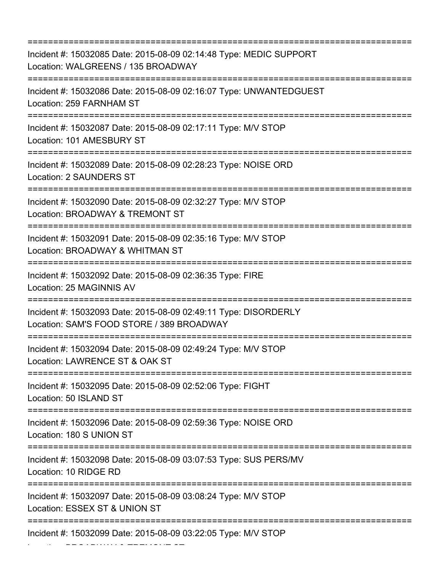| Incident #: 15032085 Date: 2015-08-09 02:14:48 Type: MEDIC SUPPORT<br>Location: WALGREENS / 135 BROADWAY                                              |
|-------------------------------------------------------------------------------------------------------------------------------------------------------|
| Incident #: 15032086 Date: 2015-08-09 02:16:07 Type: UNWANTEDGUEST<br>Location: 259 FARNHAM ST                                                        |
| Incident #: 15032087 Date: 2015-08-09 02:17:11 Type: M/V STOP<br>Location: 101 AMESBURY ST                                                            |
| Incident #: 15032089 Date: 2015-08-09 02:28:23 Type: NOISE ORD<br><b>Location: 2 SAUNDERS ST</b>                                                      |
| Incident #: 15032090 Date: 2015-08-09 02:32:27 Type: M/V STOP<br>Location: BROADWAY & TREMONT ST                                                      |
| Incident #: 15032091 Date: 2015-08-09 02:35:16 Type: M/V STOP<br>Location: BROADWAY & WHITMAN ST                                                      |
| ===================<br>Incident #: 15032092 Date: 2015-08-09 02:36:35 Type: FIRE<br>Location: 25 MAGINNIS AV                                          |
| =====================================<br>Incident #: 15032093 Date: 2015-08-09 02:49:11 Type: DISORDERLY<br>Location: SAM'S FOOD STORE / 389 BROADWAY |
| Incident #: 15032094 Date: 2015-08-09 02:49:24 Type: M/V STOP<br>Location: LAWRENCE ST & OAK ST                                                       |
| Incident #: 15032095 Date: 2015-08-09 02:52:06 Type: FIGHT<br>Location: 50 ISLAND ST                                                                  |
| ===================================<br>Incident #: 15032096 Date: 2015-08-09 02:59:36 Type: NOISE ORD<br>Location: 180 S UNION ST                     |
| :=========================<br>Incident #: 15032098 Date: 2015-08-09 03:07:53 Type: SUS PERS/MV<br>Location: 10 RIDGE RD                               |
| Incident #: 15032097 Date: 2015-08-09 03:08:24 Type: M/V STOP<br>Location: ESSEX ST & UNION ST                                                        |
| Incident #: 15032099 Date: 2015-08-09 03:22:05 Type: M/V STOP                                                                                         |

Location: BROADWAY & TREMONT ST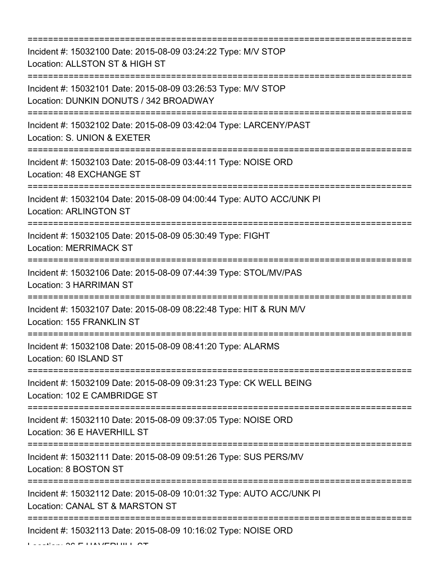=========================================================================== Incident #: 15032100 Date: 2015-08-09 03:24:22 Type: M/V STOP Location: ALLSTON ST & HIGH ST =========================================================================== Incident #: 15032101 Date: 2015-08-09 03:26:53 Type: M/V STOP Location: DUNKIN DONUTS / 342 BROADWAY =========================================================================== Incident #: 15032102 Date: 2015-08-09 03:42:04 Type: LARCENY/PAST Location: S. UNION & EXETER =========================================================================== Incident #: 15032103 Date: 2015-08-09 03:44:11 Type: NOISE ORD Location: 48 EXCHANGE ST =========================================================================== Incident #: 15032104 Date: 2015-08-09 04:00:44 Type: AUTO ACC/UNK PI Location: ARLINGTON ST =========================================================================== Incident #: 15032105 Date: 2015-08-09 05:30:49 Type: FIGHT Location: MERRIMACK ST =========================================================================== Incident #: 15032106 Date: 2015-08-09 07:44:39 Type: STOL/MV/PAS Location: 3 HARRIMAN ST =========================================================================== Incident #: 15032107 Date: 2015-08-09 08:22:48 Type: HIT & RUN M/V Location: 155 FRANKLIN ST =========================================================================== Incident #: 15032108 Date: 2015-08-09 08:41:20 Type: ALARMS Location: 60 ISLAND ST =========================================================================== Incident #: 15032109 Date: 2015-08-09 09:31:23 Type: CK WELL BEING Location: 102 E CAMBRIDGE ST =========================================================================== Incident #: 15032110 Date: 2015-08-09 09:37:05 Type: NOISE ORD Location: 36 E HAVERHILL ST =========================================================================== Incident #: 15032111 Date: 2015-08-09 09:51:26 Type: SUS PERS/MV Location: 8 BOSTON ST =========================================================================== Incident #: 15032112 Date: 2015-08-09 10:01:32 Type: AUTO ACC/UNK PI Location: CANAL ST & MARSTON ST =========================================================================== Incident #: 15032113 Date: 2015-08-09 10:16:02 Type: NOISE ORD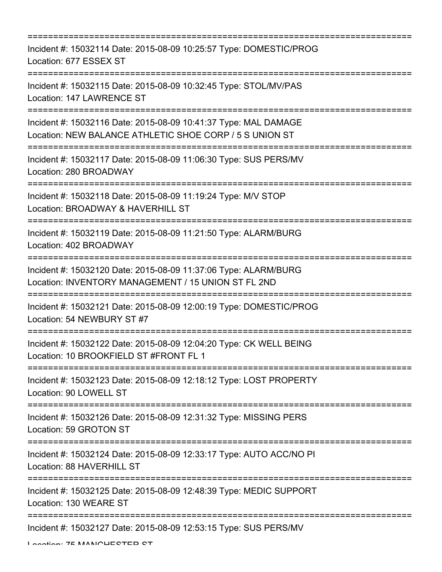| Incident #: 15032114 Date: 2015-08-09 10:25:57 Type: DOMESTIC/PROG<br>Location: 677 ESSEX ST                                            |
|-----------------------------------------------------------------------------------------------------------------------------------------|
| Incident #: 15032115 Date: 2015-08-09 10:32:45 Type: STOL/MV/PAS<br>Location: 147 LAWRENCE ST<br>====================================== |
| Incident #: 15032116 Date: 2015-08-09 10:41:37 Type: MAL DAMAGE<br>Location: NEW BALANCE ATHLETIC SHOE CORP / 5 S UNION ST              |
| Incident #: 15032117 Date: 2015-08-09 11:06:30 Type: SUS PERS/MV<br>Location: 280 BROADWAY                                              |
| Incident #: 15032118 Date: 2015-08-09 11:19:24 Type: M/V STOP<br>Location: BROADWAY & HAVERHILL ST                                      |
| Incident #: 15032119 Date: 2015-08-09 11:21:50 Type: ALARM/BURG<br>Location: 402 BROADWAY<br>===================================        |
| Incident #: 15032120 Date: 2015-08-09 11:37:06 Type: ALARM/BURG<br>Location: INVENTORY MANAGEMENT / 15 UNION ST FL 2ND                  |
| Incident #: 15032121 Date: 2015-08-09 12:00:19 Type: DOMESTIC/PROG<br>Location: 54 NEWBURY ST #7                                        |
| Incident #: 15032122 Date: 2015-08-09 12:04:20 Type: CK WELL BEING<br>Location: 10 BROOKFIELD ST #FRONT FL 1                            |
| Incident #: 15032123 Date: 2015-08-09 12:18:12 Type: LOST PROPERTY<br>Location: 90 LOWELL ST                                            |
| Incident #: 15032126 Date: 2015-08-09 12:31:32 Type: MISSING PERS<br>Location: 59 GROTON ST                                             |
| Incident #: 15032124 Date: 2015-08-09 12:33:17 Type: AUTO ACC/NO PI<br>Location: 88 HAVERHILL ST                                        |
| ===============================<br>Incident #: 15032125 Date: 2015-08-09 12:48:39 Type: MEDIC SUPPORT<br>Location: 130 WEARE ST         |
| Incident #: 15032127 Date: 2015-08-09 12:53:15 Type: SUS PERS/MV                                                                        |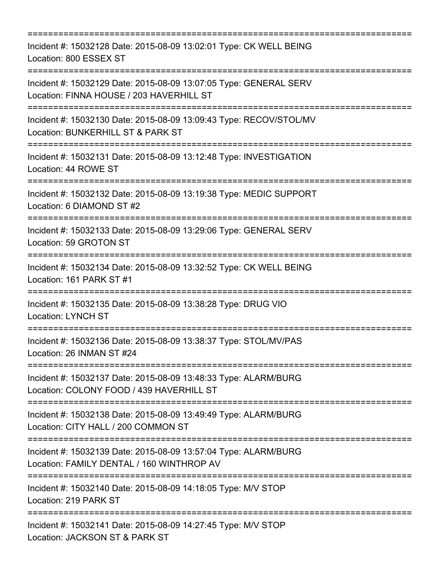=========================================================================== Incident #: 15032128 Date: 2015-08-09 13:02:01 Type: CK WELL BEING Location: 800 ESSEX ST =========================================================================== Incident #: 15032129 Date: 2015-08-09 13:07:05 Type: GENERAL SERV Location: FINNA HOUSE / 203 HAVERHILL ST =========================================================================== Incident #: 15032130 Date: 2015-08-09 13:09:43 Type: RECOV/STOL/MV Location: BUNKERHILL ST & PARK ST =========================================================================== Incident #: 15032131 Date: 2015-08-09 13:12:48 Type: INVESTIGATION Location: 44 ROWE ST =========================================================================== Incident #: 15032132 Date: 2015-08-09 13:19:38 Type: MEDIC SUPPORT Location: 6 DIAMOND ST #2 =========================================================================== Incident #: 15032133 Date: 2015-08-09 13:29:06 Type: GENERAL SERV Location: 59 GROTON ST =========================================================================== Incident #: 15032134 Date: 2015-08-09 13:32:52 Type: CK WELL BEING Location: 161 PARK ST #1 =========================================================================== Incident #: 15032135 Date: 2015-08-09 13:38:28 Type: DRUG VIO Location: LYNCH ST =========================================================================== Incident #: 15032136 Date: 2015-08-09 13:38:37 Type: STOL/MV/PAS Location: 26 INMAN ST #24 =========================================================================== Incident #: 15032137 Date: 2015-08-09 13:48:33 Type: ALARM/BURG Location: COLONY FOOD / 439 HAVERHILL ST =========================================================================== Incident #: 15032138 Date: 2015-08-09 13:49:49 Type: ALARM/BURG Location: CITY HALL / 200 COMMON ST =========================================================================== Incident #: 15032139 Date: 2015-08-09 13:57:04 Type: ALARM/BURG Location: FAMILY DENTAL / 160 WINTHROP AV =========================================================================== Incident #: 15032140 Date: 2015-08-09 14:18:05 Type: M/V STOP Location: 219 PARK ST =========================================================================== Incident #: 15032141 Date: 2015-08-09 14:27:45 Type: M/V STOP Location: JACKSON ST & PARK ST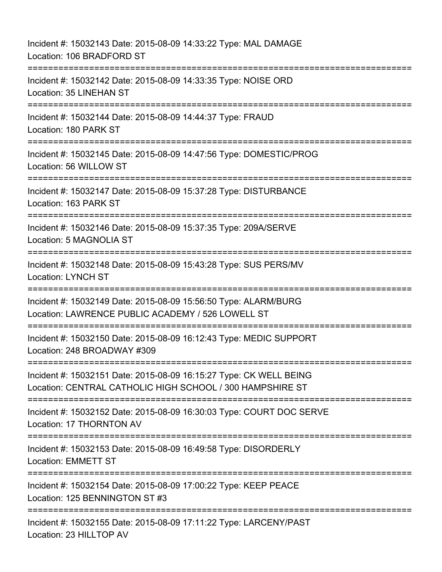Incident #: 15032143 Date: 2015-08-09 14:33:22 Type: MAL DAMAGE Location: 106 BRADFORD ST =========================================================================== Incident #: 15032142 Date: 2015-08-09 14:33:35 Type: NOISE ORD Location: 35 LINEHAN ST =========================================================================== Incident #: 15032144 Date: 2015-08-09 14:44:37 Type: FRAUD Location: 180 PARK ST =========================================================================== Incident #: 15032145 Date: 2015-08-09 14:47:56 Type: DOMESTIC/PROG Location: 56 WILLOW ST =========================================================================== Incident #: 15032147 Date: 2015-08-09 15:37:28 Type: DISTURBANCE Location: 163 PARK ST =========================================================================== Incident #: 15032146 Date: 2015-08-09 15:37:35 Type: 209A/SERVE Location: 5 MAGNOLIA ST =========================================================================== Incident #: 15032148 Date: 2015-08-09 15:43:28 Type: SUS PERS/MV Location: LYNCH ST =========================================================================== Incident #: 15032149 Date: 2015-08-09 15:56:50 Type: ALARM/BURG Location: LAWRENCE PUBLIC ACADEMY / 526 LOWELL ST =========================================================================== Incident #: 15032150 Date: 2015-08-09 16:12:43 Type: MEDIC SUPPORT Location: 248 BROADWAY #309 =========================================================================== Incident #: 15032151 Date: 2015-08-09 16:15:27 Type: CK WELL BEING Location: CENTRAL CATHOLIC HIGH SCHOOL / 300 HAMPSHIRE ST =========================================================================== Incident #: 15032152 Date: 2015-08-09 16:30:03 Type: COURT DOC SERVE Location: 17 THORNTON AV =========================================================================== Incident #: 15032153 Date: 2015-08-09 16:49:58 Type: DISORDERLY Location: EMMETT ST =========================================================================== Incident #: 15032154 Date: 2015-08-09 17:00:22 Type: KEEP PEACE Location: 125 BENNINGTON ST #3 ============================== Incident #: 15032155 Date: 2015-08-09 17:11:22 Type: LARCENY/PAST Location: 23 HILLTOP AV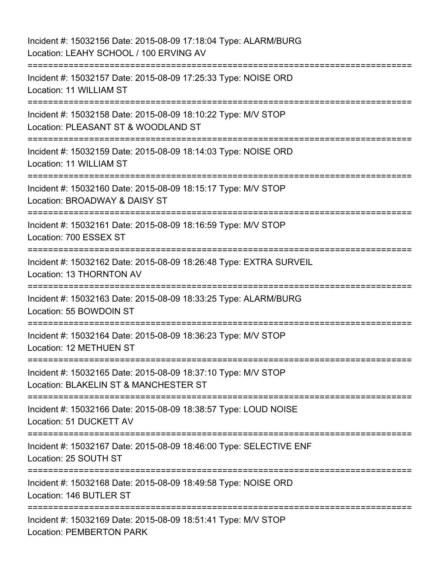Incident #: 15032156 Date: 2015-08-09 17:18:04 Type: ALARM/BURG Location: LEAHY SCHOOL / 100 ERVING AV =========================================================================== Incident #: 15032157 Date: 2015-08-09 17:25:33 Type: NOISE ORD Location: 11 WILLIAM ST =========================================================================== Incident #: 15032158 Date: 2015-08-09 18:10:22 Type: M/V STOP Location: PLEASANT ST & WOODLAND ST =========================================================================== Incident #: 15032159 Date: 2015-08-09 18:14:03 Type: NOISE ORD Location: 11 WILLIAM ST =========================================================================== Incident #: 15032160 Date: 2015-08-09 18:15:17 Type: M/V STOP Location: BROADWAY & DAISY ST =========================================================================== Incident #: 15032161 Date: 2015-08-09 18:16:59 Type: M/V STOP Location: 700 ESSEX ST =========================================================================== Incident #: 15032162 Date: 2015-08-09 18:26:48 Type: EXTRA SURVEIL Location: 13 THORNTON AV =========================================================================== Incident #: 15032163 Date: 2015-08-09 18:33:25 Type: ALARM/BURG Location: 55 BOWDOIN ST =========================================================================== Incident #: 15032164 Date: 2015-08-09 18:36:23 Type: M/V STOP Location: 12 METHUEN ST =========================================================================== Incident #: 15032165 Date: 2015-08-09 18:37:10 Type: M/V STOP Location: BLAKELIN ST & MANCHESTER ST =========================================================================== Incident #: 15032166 Date: 2015-08-09 18:38:57 Type: LOUD NOISE Location: 51 DUCKETT AV =========================================================================== Incident #: 15032167 Date: 2015-08-09 18:46:00 Type: SELECTIVE ENF Location: 25 SOUTH ST =========================================================================== Incident #: 15032168 Date: 2015-08-09 18:49:58 Type: NOISE ORD Location: 146 BUTLER ST =========================================================================== Incident #: 15032169 Date: 2015-08-09 18:51:41 Type: M/V STOP Location: PEMBERTON PARK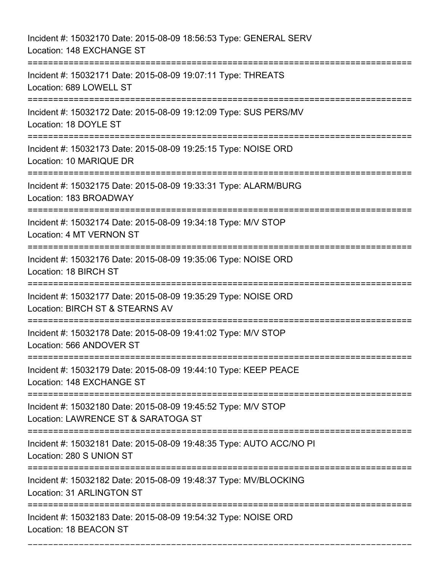| Incident #: 15032170 Date: 2015-08-09 18:56:53 Type: GENERAL SERV<br>Location: 148 EXCHANGE ST                                                                           |
|--------------------------------------------------------------------------------------------------------------------------------------------------------------------------|
| -=====================================<br>Incident #: 15032171 Date: 2015-08-09 19:07:11 Type: THREATS<br>Location: 689 LOWELL ST<br>=================================== |
| Incident #: 15032172 Date: 2015-08-09 19:12:09 Type: SUS PERS/MV<br>Location: 18 DOYLE ST                                                                                |
| Incident #: 15032173 Date: 2015-08-09 19:25:15 Type: NOISE ORD<br>Location: 10 MARIQUE DR                                                                                |
| Incident #: 15032175 Date: 2015-08-09 19:33:31 Type: ALARM/BURG<br>Location: 183 BROADWAY                                                                                |
| Incident #: 15032174 Date: 2015-08-09 19:34:18 Type: M/V STOP<br>Location: 4 MT VERNON ST<br>================================                                            |
| Incident #: 15032176 Date: 2015-08-09 19:35:06 Type: NOISE ORD<br>Location: 18 BIRCH ST<br>=========================                                                     |
| Incident #: 15032177 Date: 2015-08-09 19:35:29 Type: NOISE ORD<br>Location: BIRCH ST & STEARNS AV<br>:========================                                           |
| Incident #: 15032178 Date: 2015-08-09 19:41:02 Type: M/V STOP<br>Location: 566 ANDOVER ST                                                                                |
| Incident #: 15032179 Date: 2015-08-09 19:44:10 Type: KEEP PEACE<br>Location: 148 EXCHANGE ST                                                                             |
| Incident #: 15032180 Date: 2015-08-09 19:45:52 Type: M/V STOP<br>Location: LAWRENCE ST & SARATOGA ST                                                                     |
| Incident #: 15032181 Date: 2015-08-09 19:48:35 Type: AUTO ACC/NO PI<br>Location: 280 S UNION ST                                                                          |
| Incident #: 15032182 Date: 2015-08-09 19:48:37 Type: MV/BLOCKING<br>Location: 31 ARLINGTON ST                                                                            |
| Incident #: 15032183 Date: 2015-08-09 19:54:32 Type: NOISE ORD<br>Location: 18 BEACON ST                                                                                 |

===========================================================================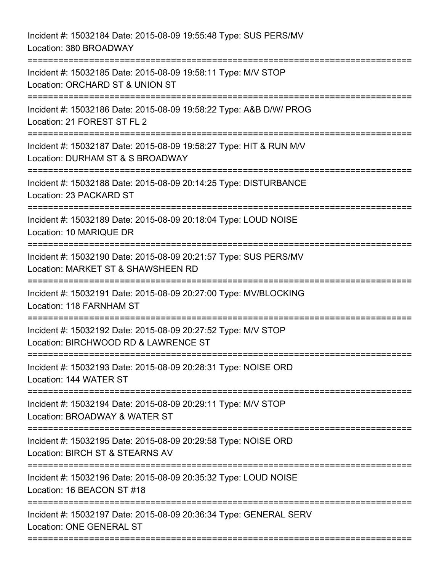Incident #: 15032184 Date: 2015-08-09 19:55:48 Type: SUS PERS/MV Location: 380 BROADWAY =========================================================================== Incident #: 15032185 Date: 2015-08-09 19:58:11 Type: M/V STOP Location: ORCHARD ST & UNION ST =========================================================================== Incident #: 15032186 Date: 2015-08-09 19:58:22 Type: A&B D/W/ PROG Location: 21 FOREST ST FL 2 =========================================================================== Incident #: 15032187 Date: 2015-08-09 19:58:27 Type: HIT & RUN M/V Location: DURHAM ST & S BROADWAY =========================================================================== Incident #: 15032188 Date: 2015-08-09 20:14:25 Type: DISTURBANCE Location: 23 PACKARD ST =========================================================================== Incident #: 15032189 Date: 2015-08-09 20:18:04 Type: LOUD NOISE Location: 10 MARIQUE DR =========================================================================== Incident #: 15032190 Date: 2015-08-09 20:21:57 Type: SUS PERS/MV Location: MARKET ST & SHAWSHEEN RD =========================================================================== Incident #: 15032191 Date: 2015-08-09 20:27:00 Type: MV/BLOCKING Location: 118 FARNHAM ST =========================================================================== Incident #: 15032192 Date: 2015-08-09 20:27:52 Type: M/V STOP Location: BIRCHWOOD RD & LAWRENCE ST =========================================================================== Incident #: 15032193 Date: 2015-08-09 20:28:31 Type: NOISE ORD Location: 144 WATER ST =========================================================================== Incident #: 15032194 Date: 2015-08-09 20:29:11 Type: M/V STOP Location: BROADWAY & WATER ST =========================================================================== Incident #: 15032195 Date: 2015-08-09 20:29:58 Type: NOISE ORD Location: BIRCH ST & STEARNS AV =========================================================================== Incident #: 15032196 Date: 2015-08-09 20:35:32 Type: LOUD NOISE Location: 16 BEACON ST #18 =========================================================================== Incident #: 15032197 Date: 2015-08-09 20:36:34 Type: GENERAL SERV Location: ONE GENERAL ST ===========================================================================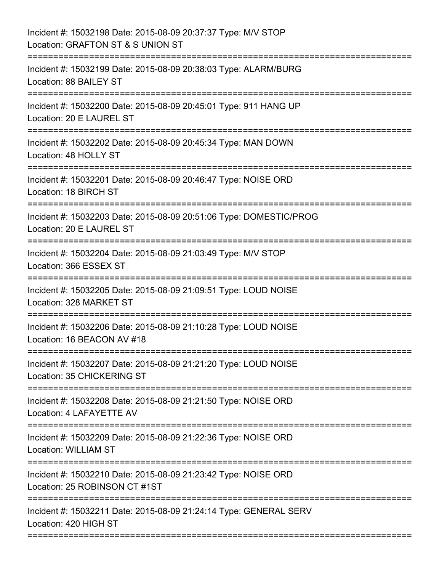| Incident #: 15032198 Date: 2015-08-09 20:37:37 Type: M/V STOP<br>Location: GRAFTON ST & S UNION ST              |
|-----------------------------------------------------------------------------------------------------------------|
| Incident #: 15032199 Date: 2015-08-09 20:38:03 Type: ALARM/BURG<br>Location: 88 BAILEY ST                       |
| Incident #: 15032200 Date: 2015-08-09 20:45:01 Type: 911 HANG UP<br>Location: 20 E LAUREL ST                    |
| Incident #: 15032202 Date: 2015-08-09 20:45:34 Type: MAN DOWN<br>Location: 48 HOLLY ST                          |
| Incident #: 15032201 Date: 2015-08-09 20:46:47 Type: NOISE ORD<br>Location: 18 BIRCH ST                         |
| Incident #: 15032203 Date: 2015-08-09 20:51:06 Type: DOMESTIC/PROG<br>Location: 20 E LAUREL ST                  |
| Incident #: 15032204 Date: 2015-08-09 21:03:49 Type: M/V STOP<br>Location: 366 ESSEX ST                         |
| Incident #: 15032205 Date: 2015-08-09 21:09:51 Type: LOUD NOISE<br>Location: 328 MARKET ST<br>----------------- |
| Incident #: 15032206 Date: 2015-08-09 21:10:28 Type: LOUD NOISE<br>Location: 16 BEACON AV #18                   |
| Incident #: 15032207 Date: 2015-08-09 21:21:20 Type: LOUD NOISE<br>Location: 35 CHICKERING ST                   |
| Incident #: 15032208 Date: 2015-08-09 21:21:50 Type: NOISE ORD<br>Location: 4 LAFAYETTE AV                      |
| Incident #: 15032209 Date: 2015-08-09 21:22:36 Type: NOISE ORD<br>Location: WILLIAM ST<br>----------            |
| Incident #: 15032210 Date: 2015-08-09 21:23:42 Type: NOISE ORD<br>Location: 25 ROBINSON CT #1ST                 |
| Incident #: 15032211 Date: 2015-08-09 21:24:14 Type: GENERAL SERV<br>Location: 420 HIGH ST                      |
|                                                                                                                 |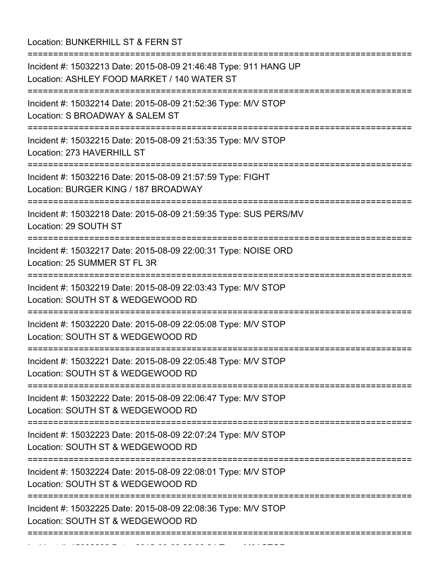Location: BUNKERHILL ST & FERN ST

=========================================================================== Incident #: 15032213 Date: 2015-08-09 21:46:48 Type: 911 HANG UP Location: ASHLEY FOOD MARKET / 140 WATER ST =========================================================================== Incident #: 15032214 Date: 2015-08-09 21:52:36 Type: M/V STOP Location: S BROADWAY & SALEM ST =========================================================================== Incident #: 15032215 Date: 2015-08-09 21:53:35 Type: M/V STOP Location: 273 HAVERHILL ST =========================================================================== Incident #: 15032216 Date: 2015-08-09 21:57:59 Type: FIGHT Location: BURGER KING / 187 BROADWAY =========================================================================== Incident #: 15032218 Date: 2015-08-09 21:59:35 Type: SUS PERS/MV Location: 29 SOUTH ST =========================================================================== Incident #: 15032217 Date: 2015-08-09 22:00:31 Type: NOISE ORD Location: 25 SUMMER ST FL 3R =========================================================================== Incident #: 15032219 Date: 2015-08-09 22:03:43 Type: M/V STOP Location: SOUTH ST & WEDGEWOOD RD =========================================================================== Incident #: 15032220 Date: 2015-08-09 22:05:08 Type: M/V STOP Location: SOUTH ST & WEDGEWOOD RD =========================================================================== Incident #: 15032221 Date: 2015-08-09 22:05:48 Type: M/V STOP Location: SOUTH ST & WEDGEWOOD RD =========================================================================== Incident #: 15032222 Date: 2015-08-09 22:06:47 Type: M/V STOP Location: SOUTH ST & WEDGEWOOD RD =========================================================================== Incident #: 15032223 Date: 2015-08-09 22:07:24 Type: M/V STOP Location: SOUTH ST & WEDGEWOOD RD =========================================================================== Incident #: 15032224 Date: 2015-08-09 22:08:01 Type: M/V STOP Location: SOUTH ST & WEDGEWOOD RD =========================================================================== Incident #: 15032225 Date: 2015-08-09 22:08:36 Type: M/V STOP Location: SOUTH ST & WEDGEWOOD RD ===========================================================================

Incident #: 15032226 Date: 2015 08 09 22:09:24 Type: M/V STOP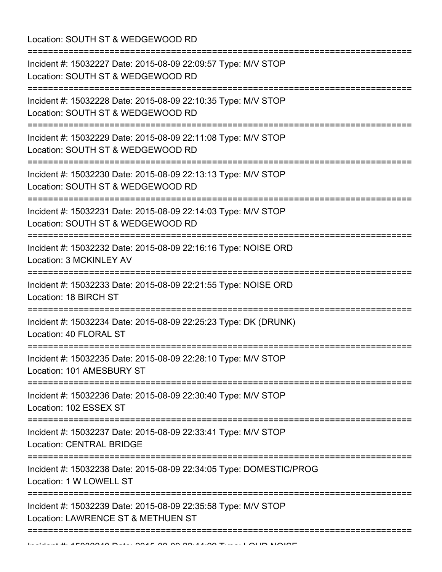| Location: SOUTH ST & WEDGEWOOD RD<br>:==============================                                                                       |
|--------------------------------------------------------------------------------------------------------------------------------------------|
| Incident #: 15032227 Date: 2015-08-09 22:09:57 Type: M/V STOP<br>Location: SOUTH ST & WEDGEWOOD RD                                         |
| Incident #: 15032228 Date: 2015-08-09 22:10:35 Type: M/V STOP<br>Location: SOUTH ST & WEDGEWOOD RD                                         |
| Incident #: 15032229 Date: 2015-08-09 22:11:08 Type: M/V STOP<br>Location: SOUTH ST & WEDGEWOOD RD                                         |
| Incident #: 15032230 Date: 2015-08-09 22:13:13 Type: M/V STOP<br>Location: SOUTH ST & WEDGEWOOD RD<br>:=================================== |
| Incident #: 15032231 Date: 2015-08-09 22:14:03 Type: M/V STOP<br>Location: SOUTH ST & WEDGEWOOD RD                                         |
| Incident #: 15032232 Date: 2015-08-09 22:16:16 Type: NOISE ORD<br>Location: 3 MCKINLEY AV                                                  |
| Incident #: 15032233 Date: 2015-08-09 22:21:55 Type: NOISE ORD<br>Location: 18 BIRCH ST                                                    |
| Incident #: 15032234 Date: 2015-08-09 22:25:23 Type: DK (DRUNK)<br>Location: 40 FLORAL ST                                                  |
| Incident #: 15032235 Date: 2015-08-09 22:28:10 Type: M/V STOP<br>Location: 101 AMESBURY ST                                                 |
| Incident #: 15032236 Date: 2015-08-09 22:30:40 Type: M/V STOP<br>Location: 102 ESSEX ST                                                    |
| ;==================================<br>Incident #: 15032237 Date: 2015-08-09 22:33:41 Type: M/V STOP<br><b>Location: CENTRAL BRIDGE</b>    |
| Incident #: 15032238 Date: 2015-08-09 22:34:05 Type: DOMESTIC/PROG<br>Location: 1 W LOWELL ST                                              |
| Incident #: 15032239 Date: 2015-08-09 22:35:58 Type: M/V STOP<br>Location: LAWRENCE ST & METHUEN ST                                        |
|                                                                                                                                            |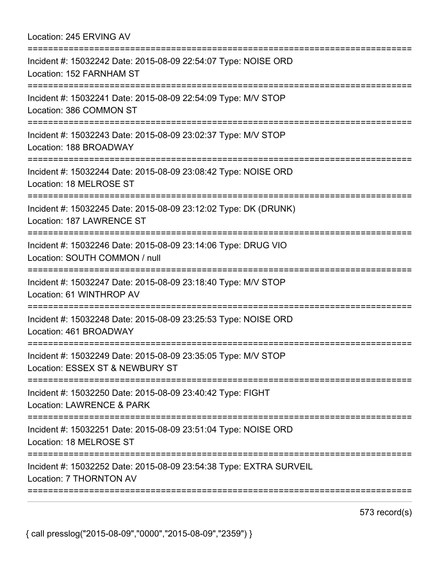| Location: 245 ERVING AV                                                                                                         |
|---------------------------------------------------------------------------------------------------------------------------------|
| Incident #: 15032242 Date: 2015-08-09 22:54:07 Type: NOISE ORD<br>Location: 152 FARNHAM ST                                      |
| Incident #: 15032241 Date: 2015-08-09 22:54:09 Type: M/V STOP<br>Location: 386 COMMON ST                                        |
| Incident #: 15032243 Date: 2015-08-09 23:02:37 Type: M/V STOP<br>Location: 188 BROADWAY                                         |
| Incident #: 15032244 Date: 2015-08-09 23:08:42 Type: NOISE ORD<br>Location: 18 MELROSE ST<br>================================== |
| Incident #: 15032245 Date: 2015-08-09 23:12:02 Type: DK (DRUNK)<br>Location: 187 LAWRENCE ST                                    |
| Incident #: 15032246 Date: 2015-08-09 23:14:06 Type: DRUG VIO<br>Location: SOUTH COMMON / null<br>:=========================    |
| Incident #: 15032247 Date: 2015-08-09 23:18:40 Type: M/V STOP<br>Location: 61 WINTHROP AV                                       |
| Incident #: 15032248 Date: 2015-08-09 23:25:53 Type: NOISE ORD<br>Location: 461 BROADWAY                                        |
| Incident #: 15032249 Date: 2015-08-09 23:35:05 Type: M/V STOP<br>Location: ESSEX ST & NEWBURY ST                                |
| Incident #: 15032250 Date: 2015-08-09 23:40:42 Type: FIGHT<br><b>Location: LAWRENCE &amp; PARK</b>                              |
| Incident #: 15032251 Date: 2015-08-09 23:51:04 Type: NOISE ORD<br>Location: 18 MELROSE ST                                       |
| Incident #: 15032252 Date: 2015-08-09 23:54:38 Type: EXTRA SURVEIL<br>Location: 7 THORNTON AV                                   |
|                                                                                                                                 |